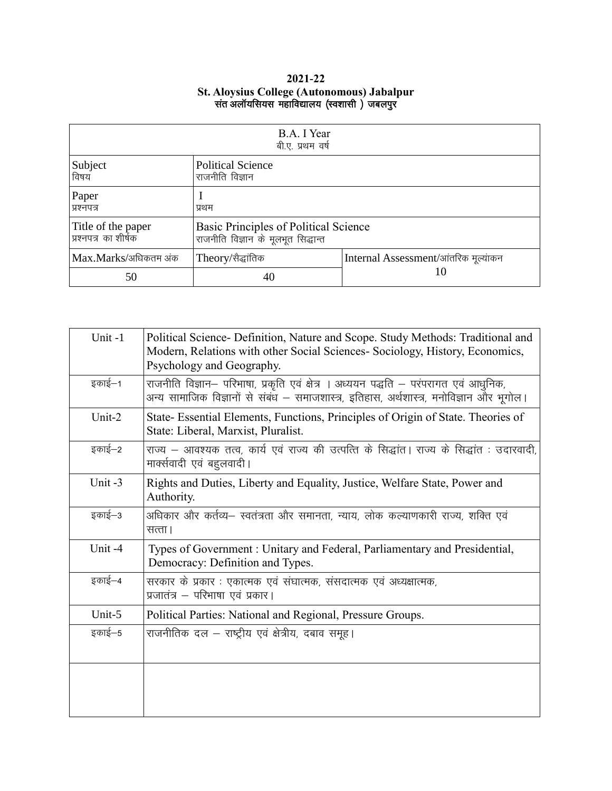## 2021-22 St. Aloysius College (Autonomous) Jabalpur<br>संत अलॉयसियस महाविद्यालय (स्वशासी) जबलपुर

| B.A. I Year<br>बी.ए. प्रथम वर्ष            |                                                                              |                                      |
|--------------------------------------------|------------------------------------------------------------------------------|--------------------------------------|
| Subject<br>विषय                            | <b>Political Science</b><br>राजनीति विज्ञान                                  |                                      |
| Paper<br>प्रश्नपत्र                        | प्रथम                                                                        |                                      |
| Title of the paper<br>प्रश्नपत्र का शीर्षक | Basic Principles of Political Science<br>राजनीति विज्ञान के मूलभूत सिद्धान्त |                                      |
| Max.Marks/अधिकतम अंक                       | Theory/सैद्धांतिक                                                            | Internal Assessment/आंतरिक मूल्यांकन |
| 50                                         | 40                                                                           | 10                                   |

| Unit-1 | Political Science- Definition, Nature and Scope. Study Methods: Traditional and<br>Modern, Relations with other Social Sciences- Sociology, History, Economics,<br>Psychology and Geography. |
|--------|----------------------------------------------------------------------------------------------------------------------------------------------------------------------------------------------|
| इकाई–1 | राजनीति विज्ञान– परिभाषा, प्रकृति एवं क्षेत्र । अध्ययन पद्धति – परंपरागत एवं आधुनिक,<br>अन्य सामाजिक विज्ञानों से संबंध – समाजशास्त्र, इतिहास, अर्थशास्त्र, मनोविज्ञान और भूगोल।             |
| Unit-2 | State-Essential Elements, Functions, Principles of Origin of State. Theories of<br>State: Liberal, Marxist, Pluralist.                                                                       |
| इकाई–2 | राज्य – आवश्यक तत्व, कार्य एवं राज्य की उत्पत्ति के सिद्धांत। राज्य के सिद्धांत : उदारवादी,<br>मार्क्सवादी एवं बहुलवादी।                                                                     |
| Unit-3 | Rights and Duties, Liberty and Equality, Justice, Welfare State, Power and<br>Authority.                                                                                                     |
| इकाई–3 | अधिकार और कर्तव्य– स्वतंत्रता और समानता, न्याय, लोक कल्याणकारी राज्य, शक्ति एवं<br>सत्ता ।                                                                                                   |
| Unit-4 | Types of Government: Unitary and Federal, Parliamentary and Presidential,<br>Democracy: Definition and Types.                                                                                |
| इकाई–4 | सरकार के प्रकार : एकात्मक एवं संघात्मक, संसदात्मक एवं अध्यक्षात्मक,<br>प्रजातंत्र – परिभाषा एवं प्रकार।                                                                                      |
| Unit-5 | Political Parties: National and Regional, Pressure Groups.                                                                                                                                   |
| इकाई–5 | राजनीतिक दल – राष्ट्रीय एवं क्षेत्रीय, दबाव समूह।                                                                                                                                            |
|        |                                                                                                                                                                                              |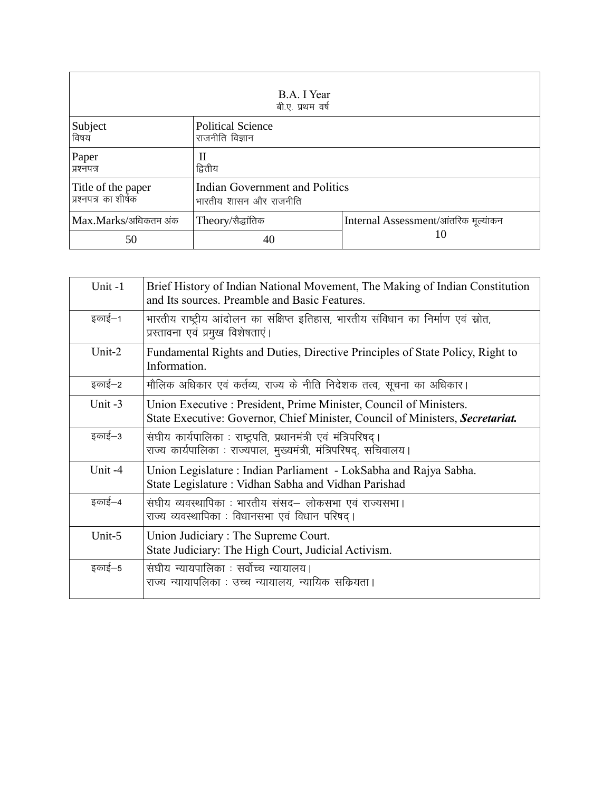| B.A. I Year<br>बी.ए. प्रथम वर्ष            |                                                          |                                      |
|--------------------------------------------|----------------------------------------------------------|--------------------------------------|
| Subject<br>विषय                            | <b>Political Science</b><br>राजनीति विज्ञान              |                                      |
| Paper<br>प्रश्नपत्र                        | H<br>द्वितीय                                             |                                      |
| Title of the paper<br>प्रश्नपत्र का शीर्षक | Indian Government and Politics<br>भारतीय शासन और राजनीति |                                      |
| Max.Marks/अधिकतम अंक                       | Theory/सैद्धांतिक                                        | Internal Assessment/आंतरिक मूल्यांकन |
| 50                                         | 40                                                       | 10                                   |

| Unit-1  | Brief History of Indian National Movement, The Making of Indian Constitution<br>and Its sources. Preamble and Basic Features.                       |
|---------|-----------------------------------------------------------------------------------------------------------------------------------------------------|
| इकाई–1  | भारतीय राष्ट्रीय आंदोलन का संक्षिप्त इतिहास, भारतीय संविधान का निर्माण एवं स्रोत,<br>प्रस्तावना एवं प्रमुख विशेषताएं ।                              |
| Unit-2  | Fundamental Rights and Duties, Directive Principles of State Policy, Right to<br>Information.                                                       |
| इकाई–2  | मौलिक अधिकार एवं कर्तव्य, राज्य के नीति निदेशक तत्व, सूचना का अधिकार।                                                                               |
| Unit -3 | Union Executive : President, Prime Minister, Council of Ministers.<br>State Executive: Governor, Chief Minister, Council of Ministers, Secretariat. |
| इकाई–3  | संघीय कार्यपालिका : राष्ट्रपति, प्रधानमंत्री एवं मंत्रिपरिषद्।<br>राज्य कार्यपालिका : राज्यपाल, मुख्यमंत्री, मंत्रिपरिषद्, सचिवालय।                 |
| Unit -4 | Union Legislature : Indian Parliament - LokSabha and Rajya Sabha.<br>State Legislature: Vidhan Sabha and Vidhan Parishad                            |
| इकाई–4  | संघीय व्यवस्थापिका : भारतीय संसद– लोकसभा एवं राज्यसभा।<br>राज्य व्यवस्थापिका : विधानसभा एवं विधान परिषद्।                                           |
| Unit-5  | Union Judiciary: The Supreme Court.<br>State Judiciary: The High Court, Judicial Activism.                                                          |
| इकाई–5  | संघीय न्यायपालिका : सर्वोच्च न्यायालय।<br>राज्य न्यायापलिका : उच्च न्यायालय, न्यायिक सकियता।                                                        |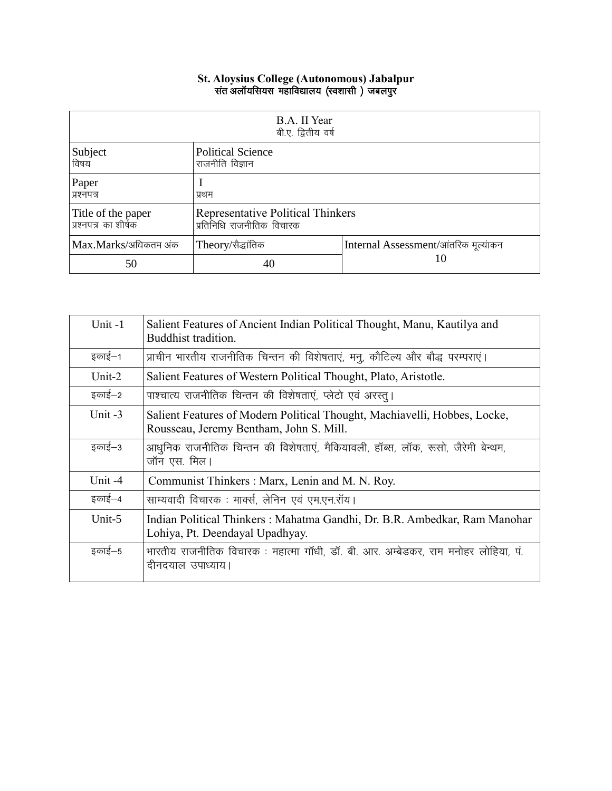## **St. Aloysius College (Autonomous) Jabalpur**  संत अलॉयसियस महाविद्यालय (स्वशासी ) जबलपुर $\bar{\phantom{a}}$

| B.A. II Year<br>बी.ए. द्वितीय वर्ष         |                                                                |                                      |
|--------------------------------------------|----------------------------------------------------------------|--------------------------------------|
| Subject<br>विषय                            | <b>Political Science</b><br>राजनीति विज्ञान                    |                                      |
| Paper<br>प्रश्नपत्र                        | प्रथम                                                          |                                      |
| Title of the paper<br>प्रश्नपत्र का शीर्षक | Representative Political Thinkers<br>प्रतिनिधि राजनीतिक विचारक |                                      |
| Max.Marks/अधिकतम अंक                       | Theory/सैद्धांतिक                                              | Internal Assessment/आंतरिक मूल्यांकन |
| 50                                         | 40                                                             | 10                                   |

| Unit-1    | Salient Features of Ancient Indian Political Thought, Manu, Kautilya and<br>Buddhist tradition.                      |
|-----------|----------------------------------------------------------------------------------------------------------------------|
| इकाई—1    | प्राचीन भारतीय राजनीतिक चिन्तन की विशेषताएं, मनु, कौटिल्य और बौद्ध परम्पराएं।                                        |
| Unit- $2$ | Salient Features of Western Political Thought, Plato, Aristotle.                                                     |
| इकाई–2    | पाश्चात्य राजनीतिक चिन्तन की विशेषताएं, प्लेटो एवं अरस्त्।                                                           |
| Unit -3   | Salient Features of Modern Political Thought, Machiavelli, Hobbes, Locke,<br>Rousseau, Jeremy Bentham, John S. Mill. |
| इकाई–3    | आधुनिक राजनीतिक चिन्तन की विशेषताएं, मैकियावली, हॉब्स, लॉक, रूसो, जैरेमी बेन्थम,<br>जॉन एस. मिल।                     |
| Unit -4   | Communist Thinkers: Marx, Lenin and M. N. Roy.                                                                       |
| इकाई–4    | साम्यवादी विचारक : मार्क्स, लेनिन एवं एम.एन.रॉय।                                                                     |
| Unit-5    | Indian Political Thinkers: Mahatma Gandhi, Dr. B.R. Ambedkar, Ram Manohar<br>Lohiya, Pt. Deendayal Upadhyay.         |
| इकाई–5    | भारतीय राजनीतिक विचारक : महात्मा गॉधी, डॉ. बी. आर. अम्बेडकर, राम मनोहर लोहिया, पं.<br>दीनदयाल उपाध्याय।              |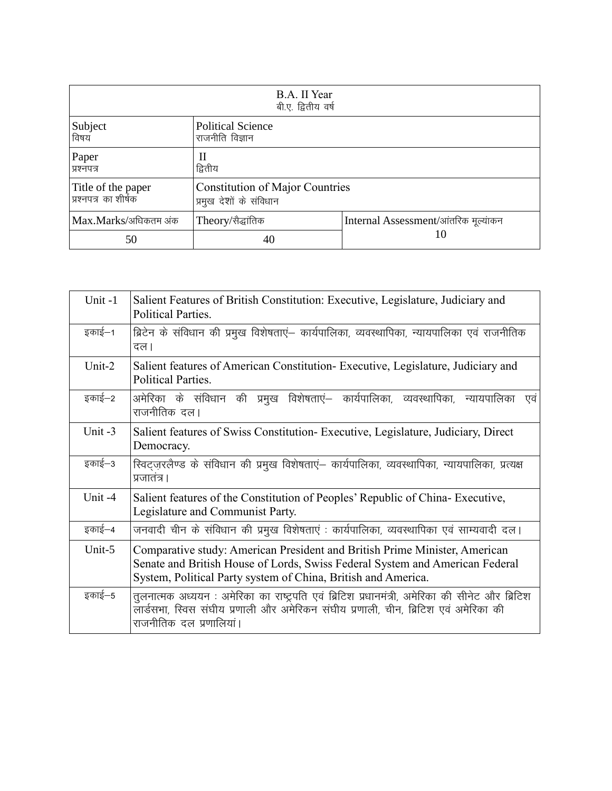| B.A. II Year<br>बी.ए. द्वितीय वर्ष         |                                                                   |                                      |
|--------------------------------------------|-------------------------------------------------------------------|--------------------------------------|
| Subject<br>विषय                            | <b>Political Science</b><br>राजनीति विज्ञान                       |                                      |
| Paper<br>प्रश्नपत्र                        | Н<br>द्वितीय                                                      |                                      |
| Title of the paper<br>प्रश्नपत्र का शीर्षक | <b>Constitution of Major Countries</b><br>प्रमुख देशों के संविधान |                                      |
| Max.Marks/अधिकतम अंक                       | Theory/सैद्धांतिक                                                 | Internal Assessment/आंतरिक मूल्यांकन |
| 50                                         | 40                                                                | 10                                   |

| Unit $-1$ | Salient Features of British Constitution: Executive, Legislature, Judiciary and<br><b>Political Parties.</b>                                                                                                                |
|-----------|-----------------------------------------------------------------------------------------------------------------------------------------------------------------------------------------------------------------------------|
| इकाई–1    | ब्रिटेन के संविधान की प्रमुख विशेषताएं— कार्यपालिका, व्यवस्थापिका, न्यायपालिका एवं राजनीतिक<br>दल।                                                                                                                          |
| Unit-2    | Salient features of American Constitution- Executive, Legislature, Judiciary and<br>Political Parties.                                                                                                                      |
| इकाई—2    | अमेरिका के संविधान की प्रमुख विशेषताएं— कार्यपालिका, व्यवस्थापिका, न्यायपालिका<br>एव<br>राजनीतिक दल।                                                                                                                        |
| Unit -3   | Salient features of Swiss Constitution- Executive, Legislature, Judiciary, Direct<br>Democracy.                                                                                                                             |
| इकाई–3    | स्विट्जरलैण्ड के संविधान की प्रमुख विशेषताएं— कार्यपालिका, व्यवस्थापिका, न्यायपालिका, प्रत्यक्ष<br>प्रजातंत्र।                                                                                                              |
| Unit -4   | Salient features of the Constitution of Peoples' Republic of China-Executive,<br>Legislature and Communist Party.                                                                                                           |
| इकाई–4    | जनवादी चीन के संविधान की प्रमुख विशेषताएं : कार्यपालिका, व्यवस्थापिका एवं साम्यवादी दल।                                                                                                                                     |
| Unit-5    | Comparative study: American President and British Prime Minister, American<br>Senate and British House of Lords, Swiss Federal System and American Federal<br>System, Political Party system of China, British and America. |
| इकाई–5    | तुलनात्मक अध्ययन : अमेरिका का राष्ट्रपति एवं ब्रिटिश प्रधानमंत्री, अमेरिका की सीनेट और ब्रिटिश<br>लार्डसभा, स्विस संघीय प्रणाली और अमेरिकन संघीय प्रणाली, चीन, ब्रिटिश एवं अमेरिका की<br>राजनीतिक दल प्रणालियां।            |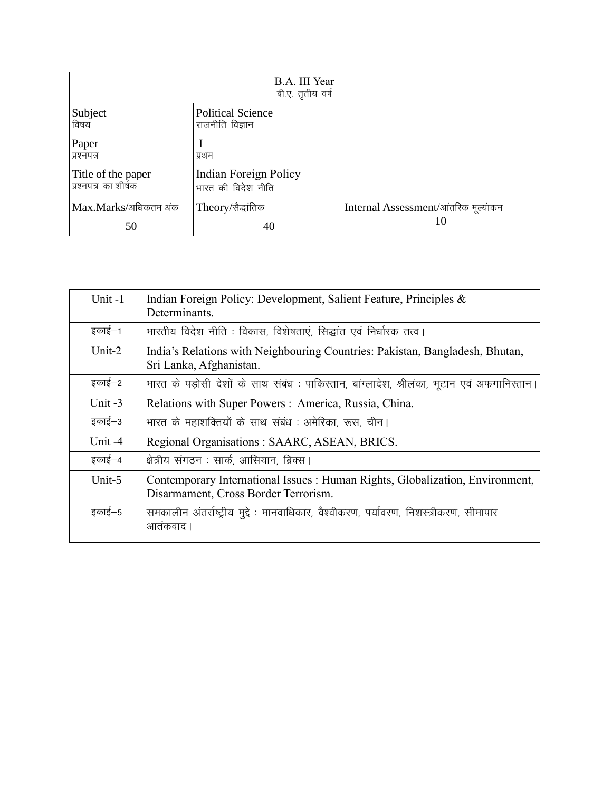| B.A. III Year<br>बी.ए. तृतीय वर्ष          |                                             |                                      |
|--------------------------------------------|---------------------------------------------|--------------------------------------|
| Subject<br>विषय                            | <b>Political Science</b><br>राजनीति विज्ञान |                                      |
| Paper<br>प्रश्नपत्र                        | प्रथम                                       |                                      |
| Title of the paper<br>प्रश्नपत्र का शीर्षक | Indian Foreign Policy<br>भारत की विदेश नीति |                                      |
| Max.Marks/अधिकतम अंक                       | Theory/सैद्धांतिक                           | Internal Assessment/आंतरिक मूल्यांकन |
| 50                                         | 40                                          | 10                                   |

| Unit -1   | Indian Foreign Policy: Development, Salient Feature, Principles &<br>Determinants.                                    |
|-----------|-----------------------------------------------------------------------------------------------------------------------|
| इकाई—1    | भारतीय विदेश नीति : विकास, विशेषताएं, सिद्धांत एवं निर्धारक तत्व।                                                     |
| Unit- $2$ | India's Relations with Neighbouring Countries: Pakistan, Bangladesh, Bhutan,<br>Sri Lanka, Afghanistan.               |
| इकाई—2    | भारत के पड़ोसी देशों के साथ संबंध : पाकिस्तान, बांग्लादेश, श्रीलंका, भूटान एवं अफगानिस्तान।                           |
| Unit $-3$ | Relations with Super Powers: America, Russia, China.                                                                  |
| इकाई–3    | भारत के महाशक्तियों के साथ संबंध : अमेरिका, रूस, चीन।                                                                 |
| Unit -4   | Regional Organisations : SAARC, ASEAN, BRICS.                                                                         |
| इकाई–4    | क्षेत्रीय संगठन : सार्क, आसियान, ब्रिक्स।                                                                             |
| Unit-5    | Contemporary International Issues : Human Rights, Globalization, Environment,<br>Disarmament, Cross Border Terrorism. |
| इकाई–5    | समकालीन अंतर्राष्ट्रीय मुद्दे : मानवाधिकार, वैश्वीकरण, पर्यावरण, निशस्त्रीकरण, सीमापार<br>आतंकवाद ।                   |